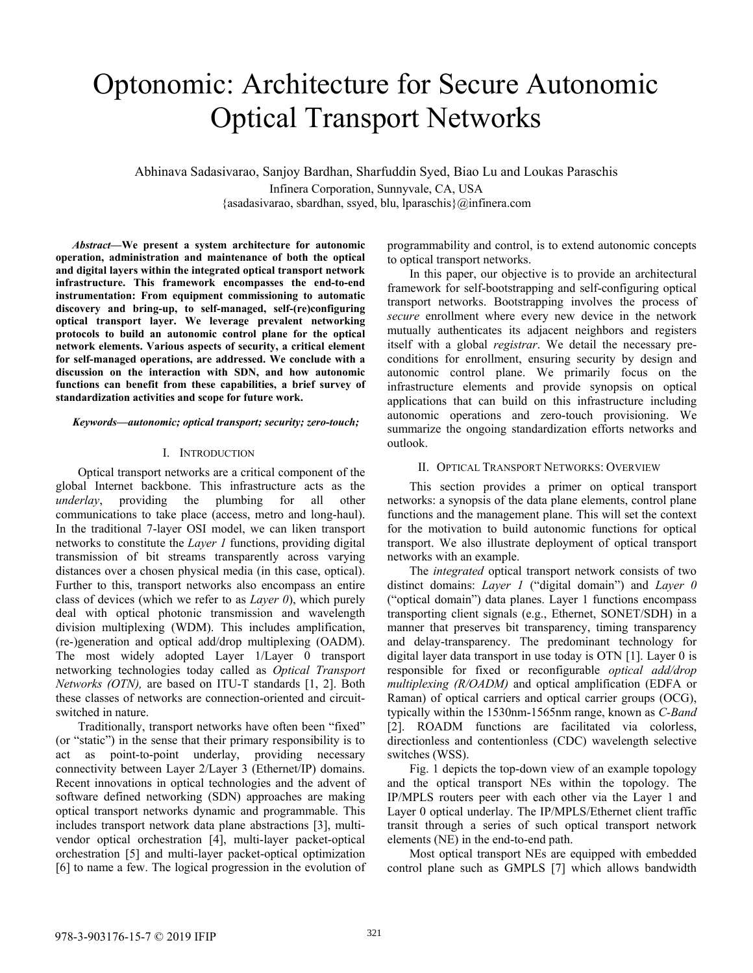# Optonomic: Architecture for Secure Autonomic Optical Transport Networks

Abhinava Sadasivarao, Sanjoy Bardhan, Sharfuddin Syed, Biao Lu and Loukas Paraschis Infinera Corporation, Sunnyvale, CA, USA {asadasivarao, sbardhan, ssyed, blu, lparaschis}@infinera.com

*Abstract***—We present a system architecture for autonomic operation, administration and maintenance of both the optical and digital layers within the integrated optical transport network infrastructure. This framework encompasses the end-to-end instrumentation: From equipment commissioning to automatic discovery and bring-up, to self-managed, self-(re)configuring optical transport layer. We leverage prevalent networking protocols to build an autonomic control plane for the optical network elements. Various aspects of security, a critical element for self-managed operations, are addressed. We conclude with a discussion on the interaction with SDN, and how autonomic functions can benefit from these capabilities, a brief survey of standardization activities and scope for future work.**

#### *Keywords—autonomic; optical transport; security; zero-touch;*

#### I. INTRODUCTION

Optical transport networks are a critical component of the global Internet backbone. This infrastructure acts as the *underlay*, providing the plumbing for all other communications to take place (access, metro and long-haul). In the traditional 7-layer OSI model, we can liken transport networks to constitute the *Layer 1* functions, providing digital transmission of bit streams transparently across varying distances over a chosen physical media (in this case, optical). Further to this, transport networks also encompass an entire class of devices (which we refer to as *Layer 0*), which purely deal with optical photonic transmission and wavelength division multiplexing (WDM). This includes amplification, (re-)generation and optical add/drop multiplexing (OADM). The most widely adopted Layer 1/Layer 0 transport networking technologies today called as *Optical Transport Networks (OTN),* are based on ITU-T standards [1, 2]. Both these classes of networks are connection-oriented and circuitswitched in nature.

Traditionally, transport networks have often been "fixed" (or "static") in the sense that their primary responsibility is to act as point-to-point underlay, providing necessary connectivity between Layer 2/Layer 3 (Ethernet/IP) domains. Recent innovations in optical technologies and the advent of software defined networking (SDN) approaches are making optical transport networks dynamic and programmable. This includes transport network data plane abstractions [3], multivendor optical orchestration [4], multi-layer packet-optical orchestration [5] and multi-layer packet-optical optimization [6] to name a few. The logical progression in the evolution of programmability and control, is to extend autonomic concepts to optical transport networks.

In this paper, our objective is to provide an architectural framework for self-bootstrapping and self-configuring optical transport networks. Bootstrapping involves the process of *secure* enrollment where every new device in the network mutually authenticates its adjacent neighbors and registers itself with a global *registrar*. We detail the necessary preconditions for enrollment, ensuring security by design and autonomic control plane. We primarily focus on the infrastructure elements and provide synopsis on optical applications that can build on this infrastructure including autonomic operations and zero-touch provisioning. We summarize the ongoing standardization efforts networks and outlook.

#### II. OPTICAL TRANSPORT NETWORKS: OVERVIEW

This section provides a primer on optical transport networks: a synopsis of the data plane elements, control plane functions and the management plane. This will set the context for the motivation to build autonomic functions for optical transport. We also illustrate deployment of optical transport networks with an example.

The *integrated* optical transport network consists of two distinct domains: *Layer 1* ("digital domain") and *Layer 0* ("optical domain") data planes. Layer 1 functions encompass transporting client signals (e.g., Ethernet, SONET/SDH) in a manner that preserves bit transparency, timing transparency and delay-transparency. The predominant technology for digital layer data transport in use today is OTN [1]. Layer 0 is responsible for fixed or reconfigurable *optical add/drop multiplexing (R/OADM)* and optical amplification (EDFA or Raman) of optical carriers and optical carrier groups (OCG), typically within the 1530nm-1565nm range, known as *C-Band* [2]. ROADM functions are facilitated via colorless, directionless and contentionless (CDC) wavelength selective switches (WSS).

Fig. 1 depicts the top-down view of an example topology and the optical transport NEs within the topology. The IP/MPLS routers peer with each other via the Layer 1 and Layer 0 optical underlay. The IP/MPLS/Ethernet client traffic transit through a series of such optical transport network elements (NE) in the end-to-end path.

Most optical transport NEs are equipped with embedded control plane such as GMPLS [7] which allows bandwidth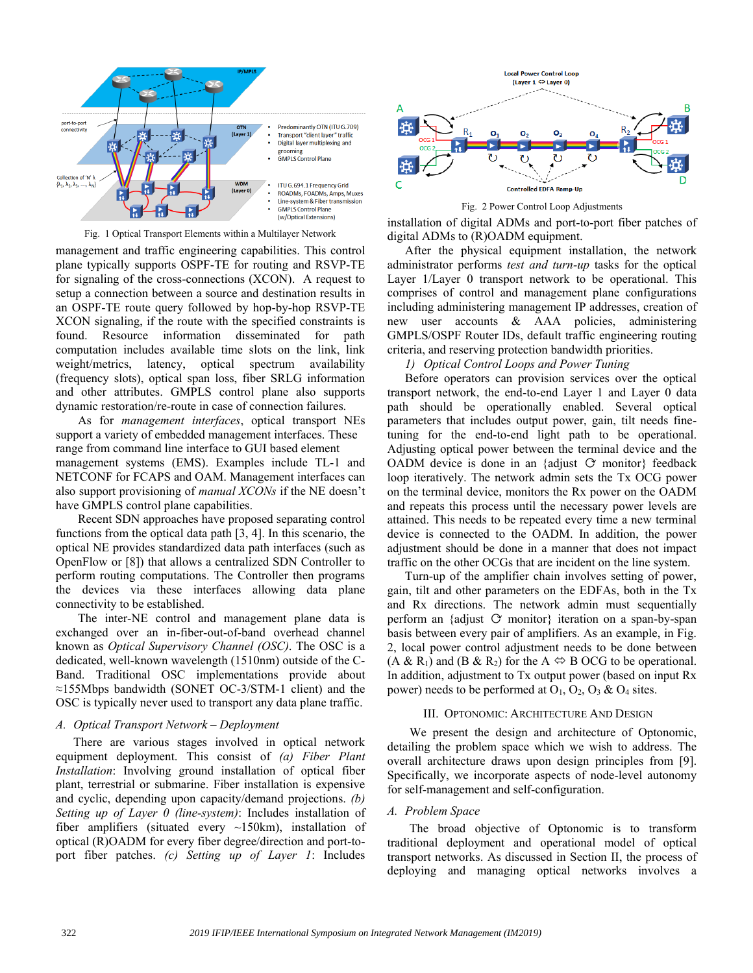

Fig. 1 Optical Transport Elements within a Multilayer Network

management and traffic engineering capabilities. This control plane typically supports OSPF-TE for routing and RSVP-TE for signaling of the cross-connections (XCON). A request to setup a connection between a source and destination results in an OSPF-TE route query followed by hop-by-hop RSVP-TE XCON signaling, if the route with the specified constraints is found. Resource information disseminated for path computation includes available time slots on the link, link weight/metrics, latency, optical spectrum availability (frequency slots), optical span loss, fiber SRLG information and other attributes. GMPLS control plane also supports dynamic restoration/re-route in case of connection failures.

As for *management interfaces*, optical transport NEs support a variety of embedded management interfaces. These range from command line interface to GUI based element management systems (EMS). Examples include TL-1 and NETCONF for FCAPS and OAM. Management interfaces can also support provisioning of *manual XCONs* if the NE doesn't have GMPLS control plane capabilities.

Recent SDN approaches have proposed separating control functions from the optical data path [3, 4]. In this scenario, the optical NE provides standardized data path interfaces (such as OpenFlow or [8]) that allows a centralized SDN Controller to perform routing computations. The Controller then programs the devices via these interfaces allowing data plane connectivity to be established.

The inter-NE control and management plane data is exchanged over an in-fiber-out-of-band overhead channel known as *Optical Supervisory Channel (OSC)*. The OSC is a dedicated, well-known wavelength (1510nm) outside of the C-Band. Traditional OSC implementations provide about ≈155Mbps bandwidth (SONET OC-3/STM-1 client) and the OSC is typically never used to transport any data plane traffic.

### *A. Optical Transport Network – Deployment*

There are various stages involved in optical network equipment deployment. This consist of *(a) Fiber Plant Installation*: Involving ground installation of optical fiber plant, terrestrial or submarine. Fiber installation is expensive and cyclic, depending upon capacity/demand projections. *(b) Setting up of Layer 0 (line-system)*: Includes installation of fiber amplifiers (situated every  $\sim$ 150km), installation of optical (R)OADM for every fiber degree/direction and port-toport fiber patches. *(c) Setting up of Layer 1*: Includes



Fig. 2 Power Control Loop Adjustments

installation of digital ADMs and port-to-port fiber patches of digital ADMs to (R)OADM equipment.

After the physical equipment installation, the network administrator performs *test and turn-up* tasks for the optical Layer 1/Layer 0 transport network to be operational. This comprises of control and management plane configurations including administering management IP addresses, creation of new user accounts & AAA policies, administering GMPLS/OSPF Router IDs, default traffic engineering routing criteria, and reserving protection bandwidth priorities.

*1) Optical Control Loops and Power Tuning*

Before operators can provision services over the optical transport network, the end-to-end Layer 1 and Layer 0 data path should be operationally enabled. Several optical parameters that includes output power, gain, tilt needs finetuning for the end-to-end light path to be operational. Adjusting optical power between the terminal device and the OADM device is done in an {adjust  $\circ$  monitor} feedback loop iteratively. The network admin sets the Tx OCG power on the terminal device, monitors the Rx power on the OADM and repeats this process until the necessary power levels are attained. This needs to be repeated every time a new terminal device is connected to the OADM. In addition, the power adjustment should be done in a manner that does not impact traffic on the other OCGs that are incident on the line system.

Turn-up of the amplifier chain involves setting of power, gain, tilt and other parameters on the EDFAs, both in the Tx and Rx directions. The network admin must sequentially perform an {adjust  $\circ$  monitor} iteration on a span-by-span basis between every pair of amplifiers. As an example, in Fig. 2, local power control adjustment needs to be done between  $(A \& R_1)$  and  $(B \& R_2)$  for the  $A \Leftrightarrow B$  OCG to be operational. In addition, adjustment to Tx output power (based on input Rx power) needs to be performed at  $O_1$ ,  $O_2$ ,  $O_3$  &  $O_4$  sites.

#### III. OPTONOMIC: ARCHITECTURE AND DESIGN

We present the design and architecture of Optonomic, detailing the problem space which we wish to address. The overall architecture draws upon design principles from [9]. Specifically, we incorporate aspects of node-level autonomy for self-management and self-configuration.

## *A. Problem Space*

The broad objective of Optonomic is to transform traditional deployment and operational model of optical transport networks. As discussed in Section II, the process of deploying and managing optical networks involves a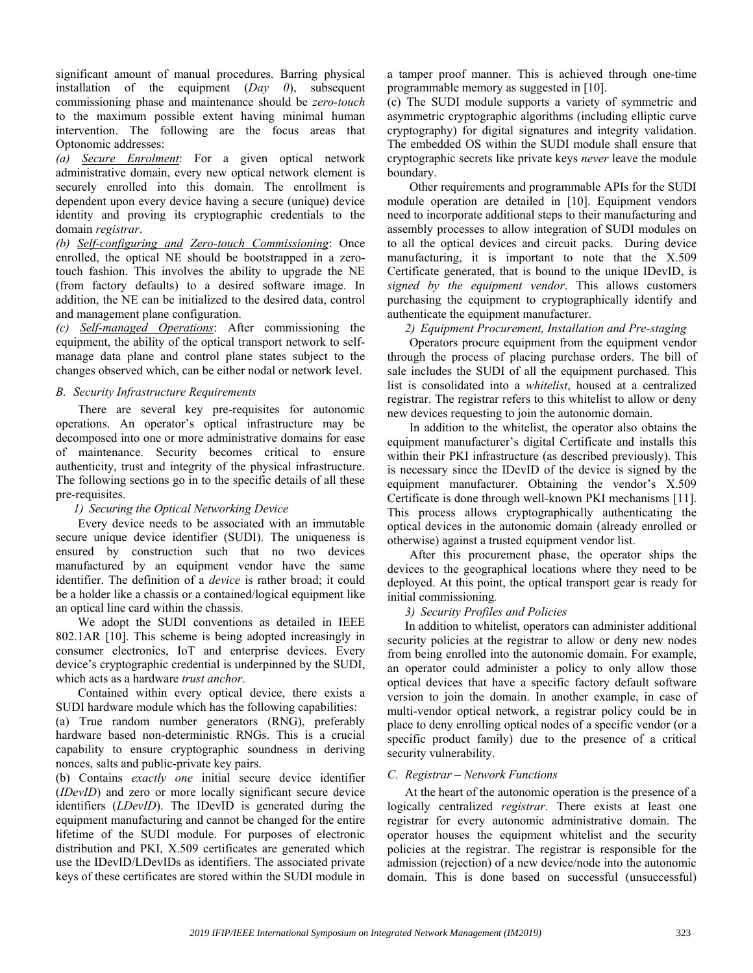significant amount of manual procedures. Barring physical installation of the equipment (*Day 0*), subsequent commissioning phase and maintenance should be *zero-touch* to the maximum possible extent having minimal human intervention. The following are the focus areas that Optonomic addresses:

*(a) Secure Enrolment*: For a given optical network administrative domain, every new optical network element is securely enrolled into this domain. The enrollment is dependent upon every device having a secure (unique) device identity and proving its cryptographic credentials to the domain *registrar*.

*(b) Self-configuring and Zero-touch Commissioning*: Once enrolled, the optical NE should be bootstrapped in a zerotouch fashion. This involves the ability to upgrade the NE (from factory defaults) to a desired software image. In addition, the NE can be initialized to the desired data, control and management plane configuration.

*(c) Self-managed Operations*: After commissioning the equipment, the ability of the optical transport network to selfmanage data plane and control plane states subject to the changes observed which, can be either nodal or network level.

## *B. Security Infrastructure Requirements*

There are several key pre-requisites for autonomic operations. An operator's optical infrastructure may be decomposed into one or more administrative domains for ease of maintenance. Security becomes critical to ensure authenticity, trust and integrity of the physical infrastructure. The following sections go in to the specific details of all these pre-requisites.

# *1) Securing the Optical Networking Device*

Every device needs to be associated with an immutable secure unique device identifier (SUDI). The uniqueness is ensured by construction such that no two devices manufactured by an equipment vendor have the same identifier. The definition of a *device* is rather broad; it could be a holder like a chassis or a contained/logical equipment like an optical line card within the chassis.

We adopt the SUDI conventions as detailed in IEEE 802.1AR [10]. This scheme is being adopted increasingly in consumer electronics, IoT and enterprise devices. Every device's cryptographic credential is underpinned by the SUDI, which acts as a hardware *trust anchor*.

Contained within every optical device, there exists a SUDI hardware module which has the following capabilities:

(a) True random number generators (RNG), preferably hardware based non-deterministic RNGs. This is a crucial capability to ensure cryptographic soundness in deriving nonces, salts and public-private key pairs.

(b) Contains *exactly one* initial secure device identifier (*IDevID*) and zero or more locally significant secure device identifiers (*LDevID*). The IDevID is generated during the equipment manufacturing and cannot be changed for the entire lifetime of the SUDI module. For purposes of electronic distribution and PKI, X.509 certificates are generated which use the IDevID/LDevIDs as identifiers. The associated private keys of these certificates are stored within the SUDI module in

a tamper proof manner. This is achieved through one-time programmable memory as suggested in [10].

(c) The SUDI module supports a variety of symmetric and asymmetric cryptographic algorithms (including elliptic curve cryptography) for digital signatures and integrity validation. The embedded OS within the SUDI module shall ensure that cryptographic secrets like private keys *never* leave the module boundary.

Other requirements and programmable APIs for the SUDI module operation are detailed in [10]. Equipment vendors need to incorporate additional steps to their manufacturing and assembly processes to allow integration of SUDI modules on to all the optical devices and circuit packs. During device manufacturing, it is important to note that the X.509 Certificate generated, that is bound to the unique IDevID, is *signed by the equipment vendor*. This allows customers purchasing the equipment to cryptographically identify and authenticate the equipment manufacturer.

# *2) Equipment Procurement, Installation and Pre-staging*

Operators procure equipment from the equipment vendor through the process of placing purchase orders. The bill of sale includes the SUDI of all the equipment purchased. This list is consolidated into a *whitelist*, housed at a centralized registrar. The registrar refers to this whitelist to allow or deny new devices requesting to join the autonomic domain.

In addition to the whitelist, the operator also obtains the equipment manufacturer's digital Certificate and installs this within their PKI infrastructure (as described previously). This is necessary since the IDevID of the device is signed by the equipment manufacturer. Obtaining the vendor's X.509 Certificate is done through well-known PKI mechanisms [11]. This process allows cryptographically authenticating the optical devices in the autonomic domain (already enrolled or otherwise) against a trusted equipment vendor list.

After this procurement phase, the operator ships the devices to the geographical locations where they need to be deployed. At this point, the optical transport gear is ready for initial commissioning*.*

# *3) Security Profiles and Policies*

<span id="page-2-0"></span>In addition to whitelist, operators can administer additional security policies at the registrar to allow or deny new nodes from being enrolled into the autonomic domain. For example, an operator could administer a policy to only allow those optical devices that have a specific factory default software version to join the domain. In another example, in case of multi-vendor optical network, a registrar policy could be in place to deny enrolling optical nodes of a specific vendor (or a specific product family) due to the presence of a critical security vulnerability.

# *C. Registrar – Network Functions*

At the heart of the autonomic operation is the presence of a logically centralized *registrar*. There exists at least one registrar for every autonomic administrative domain. The operator houses the equipment whitelist and the security policies at the registrar. The registrar is responsible for the admission (rejection) of a new device/node into the autonomic domain. This is done based on successful (unsuccessful)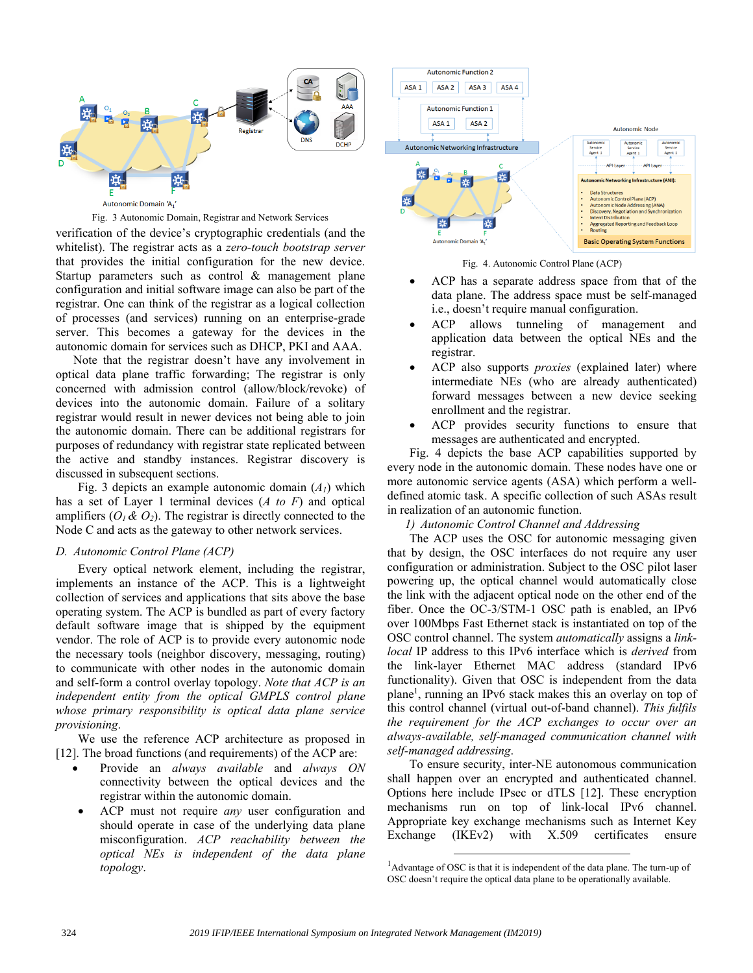

#### Fig. 3 Autonomic Domain, Registrar and Network Services

verification of the device's cryptographic credentials (and the whitelist). The registrar acts as a *zero-touch bootstrap server* that provides the initial configuration for the new device. Startup parameters such as control & management plane configuration and initial software image can also be part of the registrar. One can think of the registrar as a logical collection of processes (and services) running on an enterprise-grade server. This becomes a gateway for the devices in the autonomic domain for services such as DHCP, PKI and AAA.

Note that the registrar doesn't have any involvement in optical data plane traffic forwarding; The registrar is only concerned with admission control (allow/block/revoke) of devices into the autonomic domain. Failure of a solitary registrar would result in newer devices not being able to join the autonomic domain. There can be additional registrars for purposes of redundancy with registrar state replicated between the active and standby instances. Registrar discovery is discussed in subsequent sections.

Fig. 3 depicts an example autonomic domain  $(A<sub>1</sub>)$  which has a set of Layer 1 terminal devices (*A to F*) and optical amplifiers  $(O_1 \& O_2)$ . The registrar is directly connected to the Node C and acts as the gateway to other network services.

#### *D. Autonomic Control Plane (ACP)*

Every optical network element, including the registrar, implements an instance of the ACP. This is a lightweight collection of services and applications that sits above the base operating system. The ACP is bundled as part of every factory default software image that is shipped by the equipment vendor. The role of ACP is to provide every autonomic node the necessary tools (neighbor discovery, messaging, routing) to communicate with other nodes in the autonomic domain and self-form a control overlay topology. *Note that ACP is an independent entity from the optical GMPLS control plane whose primary responsibility is optical data plane service provisioning*.

We use the reference ACP architecture as proposed in [12]. The broad functions (and requirements) of the ACP are:

- Provide an *always available* and *always ON* connectivity between the optical devices and the registrar within the autonomic domain.
- ACP must not require *any* user configuration and should operate in case of the underlying data plane misconfiguration. *ACP reachability between the optical NEs is independent of the data plane topology*.



Fig. 4. Autonomic Control Plane (ACP)

- ACP has a separate address space from that of the data plane. The address space must be self-managed i.e., doesn't require manual configuration.
- ACP allows tunneling of management and application data between the optical NEs and the registrar.
- ACP also supports *proxies* (explained later) where intermediate NEs (who are already authenticated) forward messages between a new device seeking enrollment and the registrar.
- ACP provides security functions to ensure that messages are authenticated and encrypted.

Fig. 4 depicts the base ACP capabilities supported by every node in the autonomic domain. These nodes have one or more autonomic service agents (ASA) which perform a welldefined atomic task. A specific collection of such ASAs result in realization of an autonomic function.

*1) Autonomic Control Channel and Addressing*

The ACP uses the OSC for autonomic messaging given that by design, the OSC interfaces do not require any user configuration or administration. Subject to the OSC pilot laser powering up, the optical channel would automatically close the link with the adjacent optical node on the other end of the fiber. Once the OC-3/STM-1 OSC path is enabled, an IPv6 over 100Mbps Fast Ethernet stack is instantiated on top of the OSC control channel. The system *automatically* assigns a *linklocal* IP address to this IPv6 interface which is *derived* from the link-layer Ethernet MAC address (standard IPv6 functionality). Given that OSC is independent from the data plane<sup>1</sup>, running an IPv6 stack makes this an overlay on top of this control channel (virtual out-of-band channel). *This fulfils the requirement for the ACP exchanges to occur over an always-available, self-managed communication channel with self-managed addressing*.

To ensure security, inter-NE autonomous communication shall happen over an encrypted and authenticated channel. Options here include IPsec or dTLS [12]. These encryption mechanisms run on top of link-local IPv6 channel. Appropriate key exchange mechanisms such as Internet Key Exchange (IKEv2) with X.509 certificates ensure

l

<sup>&</sup>lt;sup>1</sup>Advantage of OSC is that it is independent of the data plane. The turn-up of OSC doesn't require the optical data plane to be operationally available.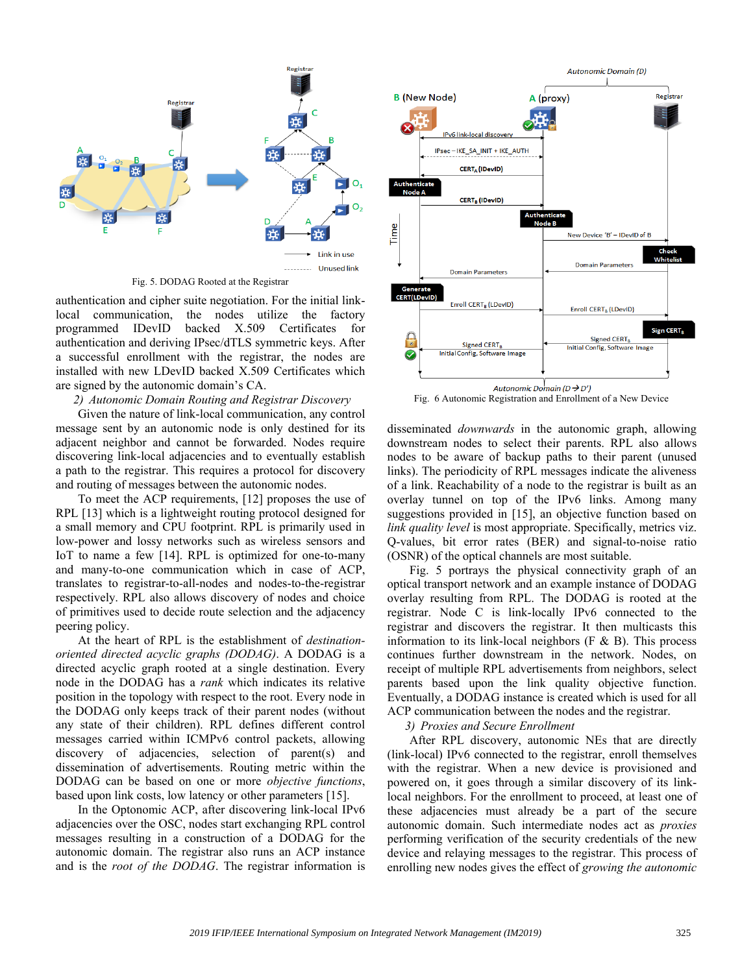

Fig. 5. DODAG Rooted at the Registrar

authentication and cipher suite negotiation. For the initial linklocal communication, the nodes utilize the factory programmed IDevID backed X.509 Certificates for authentication and deriving IPsec/dTLS symmetric keys. After a successful enrollment with the registrar, the nodes are installed with new LDevID backed X.509 Certificates which are signed by the autonomic domain's CA.

#### *2) Autonomic Domain Routing and Registrar Discovery*

Given the nature of link-local communication, any control message sent by an autonomic node is only destined for its adjacent neighbor and cannot be forwarded. Nodes require discovering link-local adjacencies and to eventually establish a path to the registrar. This requires a protocol for discovery and routing of messages between the autonomic nodes.

To meet the ACP requirements, [12] proposes the use of RPL [13] which is a lightweight routing protocol designed for a small memory and CPU footprint. RPL is primarily used in low-power and lossy networks such as wireless sensors and IoT to name a few [14]. RPL is optimized for one-to-many and many-to-one communication which in case of ACP, translates to registrar-to-all-nodes and nodes-to-the-registrar respectively. RPL also allows discovery of nodes and choice of primitives used to decide route selection and the adjacency peering policy.

At the heart of RPL is the establishment of *destinationoriented directed acyclic graphs (DODAG)*. A DODAG is a directed acyclic graph rooted at a single destination. Every node in the DODAG has a *rank* which indicates its relative position in the topology with respect to the root. Every node in the DODAG only keeps track of their parent nodes (without any state of their children). RPL defines different control messages carried within ICMPv6 control packets, allowing discovery of adjacencies, selection of parent(s) and dissemination of advertisements. Routing metric within the DODAG can be based on one or more *objective functions*, based upon link costs, low latency or other parameters [15].

In the Optonomic ACP, after discovering link-local IPv6 adjacencies over the OSC, nodes start exchanging RPL control messages resulting in a construction of a DODAG for the autonomic domain. The registrar also runs an ACP instance and is the *root of the DODAG*. The registrar information is



Fig. 6 Autonomic Registration and Enrollment of a New Device

disseminated *downwards* in the autonomic graph, allowing downstream nodes to select their parents. RPL also allows nodes to be aware of backup paths to their parent (unused links). The periodicity of RPL messages indicate the aliveness of a link. Reachability of a node to the registrar is built as an overlay tunnel on top of the IPv6 links. Among many suggestions provided in [15], an objective function based on *link quality level* is most appropriate. Specifically, metrics viz. Q-values, bit error rates (BER) and signal-to-noise ratio (OSNR) of the optical channels are most suitable.

Fig. 5 portrays the physical connectivity graph of an optical transport network and an example instance of DODAG overlay resulting from RPL. The DODAG is rooted at the registrar. Node C is link-locally IPv6 connected to the registrar and discovers the registrar. It then multicasts this information to its link-local neighbors (F & B). This process continues further downstream in the network. Nodes, on receipt of multiple RPL advertisements from neighbors, select parents based upon the link quality objective function. Eventually, a DODAG instance is created which is used for all ACP communication between the nodes and the registrar.

*3) Proxies and Secure Enrollment*

After RPL discovery, autonomic NEs that are directly (link-local) IPv6 connected to the registrar, enroll themselves with the registrar. When a new device is provisioned and powered on, it goes through a similar discovery of its linklocal neighbors. For the enrollment to proceed, at least one of these adjacencies must already be a part of the secure autonomic domain. Such intermediate nodes act as *proxies* performing verification of the security credentials of the new device and relaying messages to the registrar. This process of enrolling new nodes gives the effect of *growing the autonomic*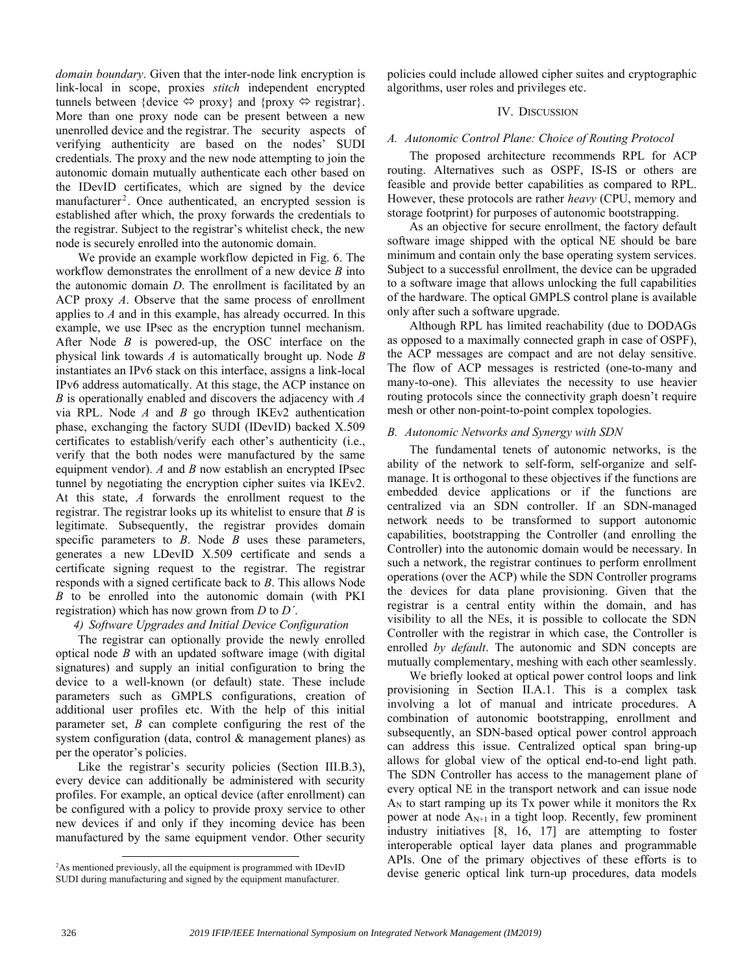*domain boundary*. Given that the inter-node link encryption is link-local in scope, proxies *stitch* independent encrypted tunnels between {device  $\Leftrightarrow$  proxy} and {proxy  $\Leftrightarrow$  registrar}. More than one proxy node can be present between a new unenrolled device and the registrar. The security aspects of verifying authenticity are based on the nodes' SUDI credentials. The proxy and the new node attempting to join the autonomic domain mutually authenticate each other based on the IDevID certificates, which are signed by the device manufacturer<sup>2</sup>. Once authenticated, an encrypted session is established after which, the proxy forwards the credentials to the registrar. Subject to the registrar's whitelist check, the new node is securely enrolled into the autonomic domain.

We provide an example workflow depicted in Fig. 6. The workflow demonstrates the enrollment of a new device *B* into the autonomic domain *D*. The enrollment is facilitated by an ACP proxy *A*. Observe that the same process of enrollment applies to *A* and in this example, has already occurred. In this example, we use IPsec as the encryption tunnel mechanism. After Node *B* is powered-up, the OSC interface on the physical link towards *A* is automatically brought up. Node *B* instantiates an IPv6 stack on this interface, assigns a link-local IPv6 address automatically. At this stage, the ACP instance on *B* is operationally enabled and discovers the adjacency with *A* via RPL. Node *A* and *B* go through IKEv2 authentication phase, exchanging the factory SUDI (IDevID) backed X.509 certificates to establish/verify each other's authenticity (i.e., verify that the both nodes were manufactured by the same equipment vendor). *A* and *B* now establish an encrypted IPsec tunnel by negotiating the encryption cipher suites via IKEv2. At this state, *A* forwards the enrollment request to the registrar. The registrar looks up its whitelist to ensure that *B* is legitimate. Subsequently, the registrar provides domain specific parameters to *B*. Node *B* uses these parameters, generates a new LDevID X.509 certificate and sends a certificate signing request to the registrar. The registrar responds with a signed certificate back to *B*. This allows Node *B* to be enrolled into the autonomic domain (with PKI registration) which has now grown from *D* to *D΄*.

# *4) Software Upgrades and Initial Device Configuration*

The registrar can optionally provide the newly enrolled optical node *B* with an updated software image (with digital signatures) and supply an initial configuration to bring the device to a well-known (or default) state. These include parameters such as GMPLS configurations, creation of additional user profiles etc. With the help of this initial parameter set, *B* can complete configuring the rest of the system configuration (data, control & management planes) as per the operator's policies.

Like the registrar's security policies (Section [III.B.3\),](#page-2-0) every device can additionally be administered with security profiles. For example, an optical device (after enrollment) can be configured with a policy to provide proxy service to other new devices if and only if they incoming device has been manufactured by the same equipment vendor. Other security

policies could include allowed cipher suites and cryptographic algorithms, user roles and privileges etc.

# IV. DISCUSSION

# *A. Autonomic Control Plane: Choice of Routing Protocol*

The proposed architecture recommends RPL for ACP routing. Alternatives such as OSPF, IS-IS or others are feasible and provide better capabilities as compared to RPL. However, these protocols are rather *heavy* (CPU, memory and storage footprint) for purposes of autonomic bootstrapping.

As an objective for secure enrollment, the factory default software image shipped with the optical NE should be bare minimum and contain only the base operating system services. Subject to a successful enrollment, the device can be upgraded to a software image that allows unlocking the full capabilities of the hardware. The optical GMPLS control plane is available only after such a software upgrade.

Although RPL has limited reachability (due to DODAGs as opposed to a maximally connected graph in case of OSPF), the ACP messages are compact and are not delay sensitive. The flow of ACP messages is restricted (one-to-many and many-to-one). This alleviates the necessity to use heavier routing protocols since the connectivity graph doesn't require mesh or other non-point-to-point complex topologies.

# *B. Autonomic Networks and Synergy with SDN*

The fundamental tenets of autonomic networks, is the ability of the network to self-form, self-organize and selfmanage. It is orthogonal to these objectives if the functions are embedded device applications or if the functions are centralized via an SDN controller. If an SDN-managed network needs to be transformed to support autonomic capabilities, bootstrapping the Controller (and enrolling the Controller) into the autonomic domain would be necessary. In such a network, the registrar continues to perform enrollment operations (over the ACP) while the SDN Controller programs the devices for data plane provisioning. Given that the registrar is a central entity within the domain, and has visibility to all the NEs, it is possible to collocate the SDN Controller with the registrar in which case, the Controller is enrolled *by default*. The autonomic and SDN concepts are mutually complementary, meshing with each other seamlessly.

We briefly looked at optical power control loops and link provisioning in Section II.A.1. This is a complex task involving a lot of manual and intricate procedures. A combination of autonomic bootstrapping, enrollment and subsequently, an SDN-based optical power control approach can address this issue. Centralized optical span bring-up allows for global view of the optical end-to-end light path. The SDN Controller has access to the management plane of every optical NE in the transport network and can issue node  $A_N$  to start ramping up its Tx power while it monitors the Rx power at node  $A_{N+1}$  in a tight loop. Recently, few prominent industry initiatives [8, 16, 17] are attempting to foster interoperable optical layer data planes and programmable APIs. One of the primary objectives of these efforts is to devise generic optical link turn-up procedures, data models

l

<sup>&</sup>lt;sup>2</sup>As mentioned previously, all the equipment is programmed with IDevID SUDI during manufacturing and signed by the equipment manufacturer.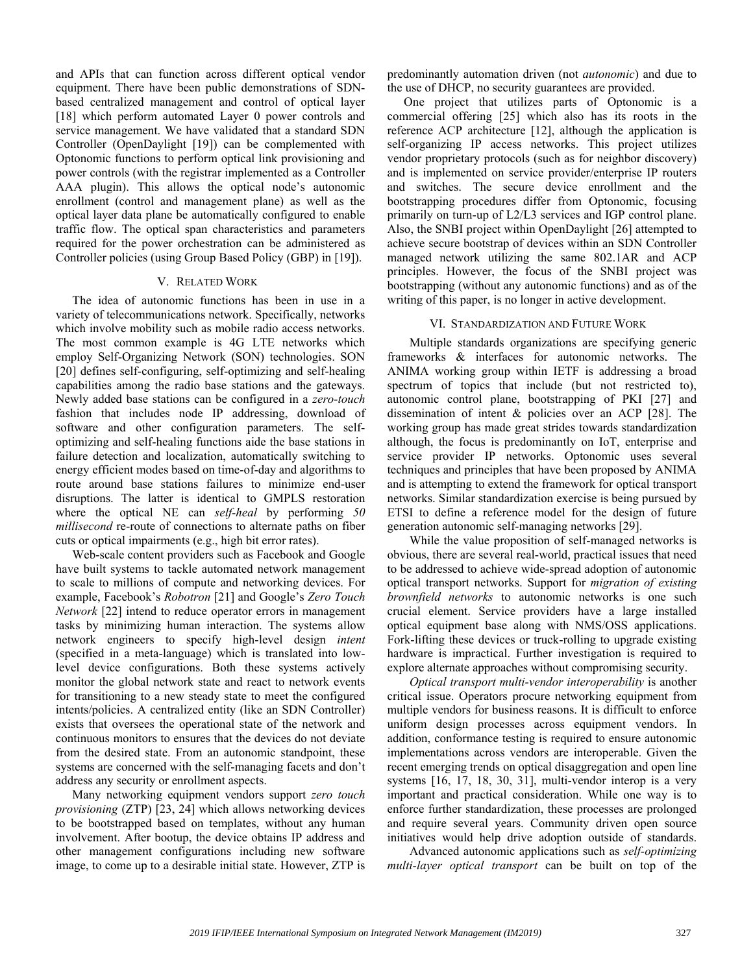and APIs that can function across different optical vendor equipment. There have been public demonstrations of SDNbased centralized management and control of optical layer [18] which perform automated Layer 0 power controls and service management. We have validated that a standard SDN Controller (OpenDaylight [19]) can be complemented with Optonomic functions to perform optical link provisioning and power controls (with the registrar implemented as a Controller AAA plugin). This allows the optical node's autonomic enrollment (control and management plane) as well as the optical layer data plane be automatically configured to enable traffic flow. The optical span characteristics and parameters required for the power orchestration can be administered as Controller policies (using Group Based Policy (GBP) in [19]).

#### V. RELATED WORK

The idea of autonomic functions has been in use in a variety of telecommunications network. Specifically, networks which involve mobility such as mobile radio access networks. The most common example is 4G LTE networks which employ Self-Organizing Network (SON) technologies. SON [20] defines self-configuring, self-optimizing and self-healing capabilities among the radio base stations and the gateways. Newly added base stations can be configured in a *zero-touch* fashion that includes node IP addressing, download of software and other configuration parameters. The selfoptimizing and self-healing functions aide the base stations in failure detection and localization, automatically switching to energy efficient modes based on time-of-day and algorithms to route around base stations failures to minimize end-user disruptions. The latter is identical to GMPLS restoration where the optical NE can *self-heal* by performing *50 millisecond* re-route of connections to alternate paths on fiber cuts or optical impairments (e.g., high bit error rates).

Web-scale content providers such as Facebook and Google have built systems to tackle automated network management to scale to millions of compute and networking devices. For example, Facebook's *Robotron* [21] and Google's *Zero Touch Network* [22] intend to reduce operator errors in management tasks by minimizing human interaction. The systems allow network engineers to specify high-level design *intent* (specified in a meta-language) which is translated into lowlevel device configurations. Both these systems actively monitor the global network state and react to network events for transitioning to a new steady state to meet the configured intents/policies. A centralized entity (like an SDN Controller) exists that oversees the operational state of the network and continuous monitors to ensures that the devices do not deviate from the desired state. From an autonomic standpoint, these systems are concerned with the self-managing facets and don't address any security or enrollment aspects.

Many networking equipment vendors support *zero touch provisioning* (ZTP) [23, 24] which allows networking devices to be bootstrapped based on templates, without any human involvement. After bootup, the device obtains IP address and other management configurations including new software image, to come up to a desirable initial state. However, ZTP is

predominantly automation driven (not *autonomic*) and due to the use of DHCP, no security guarantees are provided.

One project that utilizes parts of Optonomic is a commercial offering [25] which also has its roots in the reference ACP architecture [12], although the application is self-organizing IP access networks. This project utilizes vendor proprietary protocols (such as for neighbor discovery) and is implemented on service provider/enterprise IP routers and switches. The secure device enrollment and the bootstrapping procedures differ from Optonomic, focusing primarily on turn-up of L2/L3 services and IGP control plane. Also, the SNBI project within OpenDaylight [26] attempted to achieve secure bootstrap of devices within an SDN Controller managed network utilizing the same 802.1AR and ACP principles. However, the focus of the SNBI project was bootstrapping (without any autonomic functions) and as of the writing of this paper, is no longer in active development.

## VI. STANDARDIZATION AND FUTURE WORK

Multiple standards organizations are specifying generic frameworks & interfaces for autonomic networks. The ANIMA working group within IETF is addressing a broad spectrum of topics that include (but not restricted to), autonomic control plane, bootstrapping of PKI [27] and dissemination of intent & policies over an ACP [28]. The working group has made great strides towards standardization although, the focus is predominantly on IoT, enterprise and service provider IP networks. Optonomic uses several techniques and principles that have been proposed by ANIMA and is attempting to extend the framework for optical transport networks. Similar standardization exercise is being pursued by ETSI to define a reference model for the design of future generation autonomic self-managing networks [29].

While the value proposition of self-managed networks is obvious, there are several real-world, practical issues that need to be addressed to achieve wide-spread adoption of autonomic optical transport networks. Support for *migration of existing brownfield networks* to autonomic networks is one such crucial element. Service providers have a large installed optical equipment base along with NMS/OSS applications. Fork-lifting these devices or truck-rolling to upgrade existing hardware is impractical. Further investigation is required to explore alternate approaches without compromising security.

*Optical transport multi-vendor interoperability* is another critical issue. Operators procure networking equipment from multiple vendors for business reasons. It is difficult to enforce uniform design processes across equipment vendors. In addition, conformance testing is required to ensure autonomic implementations across vendors are interoperable. Given the recent emerging trends on optical disaggregation and open line systems [16, 17, 18, 30, 31], multi-vendor interop is a very important and practical consideration. While one way is to enforce further standardization, these processes are prolonged and require several years. Community driven open source initiatives would help drive adoption outside of standards.

Advanced autonomic applications such as *self-optimizing multi-layer optical transport* can be built on top of the